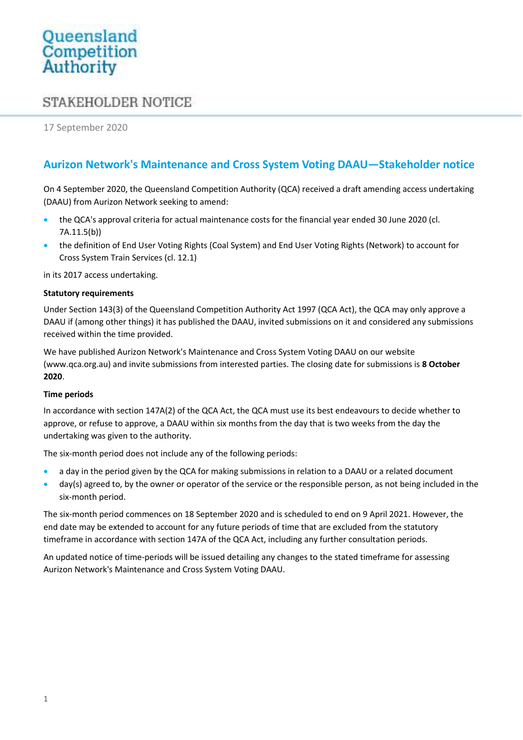# Queensland Competition Authority

## **STAKEHOLDER NOTICE**

17 September 2020

## Aurizon Network's Maintenance and Cross System Voting DAAU—Stakeholder notice

On 4 September 2020, the Queensland Competition Authority (QCA) received a draft amending access undertaking (DAAU) from Aurizon Network seeking to amend:

- the QCA's approval criteria for actual maintenance costs for the financial year ended 30 June 2020 (cl. 7A.11.5(b))
- the definition of End User Voting Rights (Coal System) and End User Voting Rights (Network) to account for Cross System Train Services (cl. 12.1)

in its 2017 access undertaking.

#### Statutory requirements

Under Section 143(3) of the Queensland Competition Authority Act 1997 (QCA Act), the QCA may only approve a DAAU if (among other things) it has published the DAAU, invited submissions on it and considered any submissions received within the time provided.

We have published Aurizon Network's Maintenance and Cross System Voting DAAU on our website (www.qca.org.au) and invite submissions from interested parties. The closing date for submissions is 8 October 2020.

#### Time periods

In accordance with section 147A(2) of the QCA Act, the QCA must use its best endeavours to decide whether to approve, or refuse to approve, a DAAU within six months from the day that is two weeks from the day the undertaking was given to the authority.

The six-month period does not include any of the following periods:

- a day in the period given by the QCA for making submissions in relation to a DAAU or a related document
- day(s) agreed to, by the owner or operator of the service or the responsible person, as not being included in the six-month period.

The six-month period commences on 18 September 2020 and is scheduled to end on 9 April 2021. However, the end date may be extended to account for any future periods of time that are excluded from the statutory timeframe in accordance with section 147A of the QCA Act, including any further consultation periods.

An updated notice of time-periods will be issued detailing any changes to the stated timeframe for assessing Aurizon Network's Maintenance and Cross System Voting DAAU.